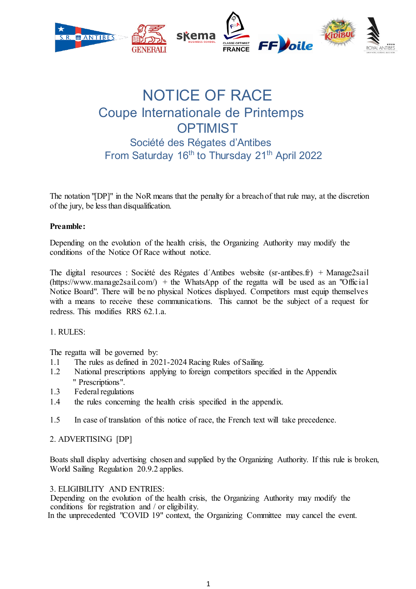

# NOTICE OF RACE Coupe Internationale de Printemps **OPTIMIST** Société des Régates d'Antibes From Saturday 16<sup>th</sup> to Thursday 21<sup>th</sup> April 2022

The notation "[DP]" in the NoR means that the penalty for a breach of that rule may, at the discretion of the jury, be less than disqualification.

#### **Preamble:**

Depending on the evolution of the health crisis, the Organizing Authority may modify the conditions of the Notice Of Race without notice.

The digital resources : Société des Régates d´Antibes website (sr-antibes.fr) + Manage2sail  $(\text{https://www.manage2sail.com/}) + \text{the WhatsApp of the regatta will be used as an "Official"$ Notice Board". There will be no physical Notices displayed. Competitors must equip themselves with a means to receive these communications. This cannot be the subject of a request for redress. This modifies RRS 62.1 a.

#### 1. RULES:

The regatta will be governed by:

- 1.1 The rules as defined in 2021-2024 Racing Rules of Sailing.
- 1.2 National prescriptions applying to foreign competitors specified in the Appendix " Prescriptions".
- 1.3 Federal regulations
- 1.4 the rules concerning the health crisis specified in the appendix.
- 1.5 In case of translation of this notice of race, the French text will take precedence.

#### 2. ADVERTISING [DP]

Boats shall display advertising chosen and supplied by the Organizing Authority. If this rule is broken, World Sailing Regulation 20.9.2 applies.

3. ELIGIBILITY AND ENTRIES:

Depending on the evolution of the health crisis, the Organizing Authority may modify the conditions for registration and / or eligibility. In the unprecedented "COVID 19" context, the Organizing Committee may cancel the event.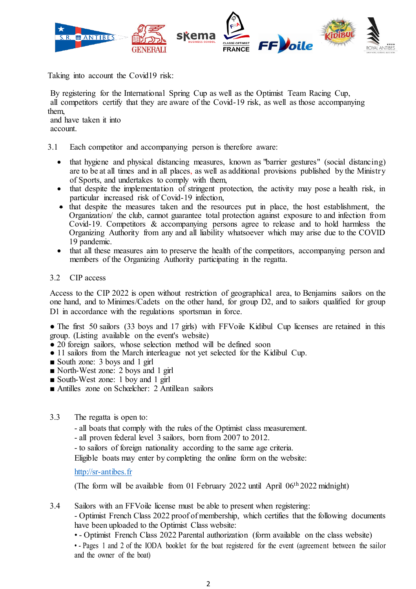

Taking into account the Covid19 risk:

By registering for the International Spring Cup as well as the Optimist Team Racing Cup, all competitors certify that they are aware of the Covid-19 risk, as well as those accompanying them,

and have taken it into account.

- 3.1 Each competitor and accompanying person is therefore aware:
	- that hygiene and physical distancing measures, known as "barrier gestures" (social distancing) are to be at all times and in all places, as well as additional provisions published by the Ministry of Sports, and undertakes to comply with them,
	- x that despite the implementation of stringent protection, the activity may pose a health risk, in particular increased risk of Covid-19 infection,
	- that despite the measures taken and the resources put in place, the host establishment, the Organization/ the club, cannot guarantee total protection against exposure to and infection from Covid-19. Competitors & accompanying persons agree to release and to hold harmless the Organizing Authority from any and all liability whatsoever which may arise due to the COVID 19 pandemic.
	- that all these measures aim to preserve the health of the competitors, accompanying person and members of the Organizing Authority participating in the regatta.

#### 3.2 CIP access

Access to the CIP 2022 is open without restriction of geographical area, to Benjamins sailors on the one hand, and to Minimes/Cadets on the other hand, for group D2, and to sailors qualified for group D1 in accordance with the regulations sportsman in force.

• The first 50 sailors (33 boys and 17 girls) with FFVoile Kidibul Cup licenses are retained in this group. (Listing available on the event's website)

- 20 foreign sailors, whose selection method will be defined soon
- 11 sailors from the March interleague not yet selected for the Kidibul Cup.
- South zone: 3 boys and 1 girl
- North-West zone: 2 boys and 1 girl
- South-West zone: 1 boy and 1 girl
- Antilles zone on Schœlcher: 2 Antillean sailors
- 3.3 The regatta is open to:

- all boats that comply with the rules of the Optimist class measurement.

- all proven federal level 3 sailors, born from 2007 to 2012.
- to sailors of foreign nationality according to the same age criteria.

Eligible boats may enter by completing the online form on the website:

http://sr-antibes.fr

(The form will be available from 01 February 2022 until April 06th 2022 midnight)

3.4 Sailors with an FFVoile license must be able to present when registering:

- Optimist French Class 2022 proof of membership, which certifies that the following documents have been uploaded to the Optimist Class website:

• - Optimist French Class 2022 Parental authorization (form available on the class website)

• - Pages 1 and 2 of the IODA booklet for the boat registered for the event (agreement between the sailor and the owner of the boat)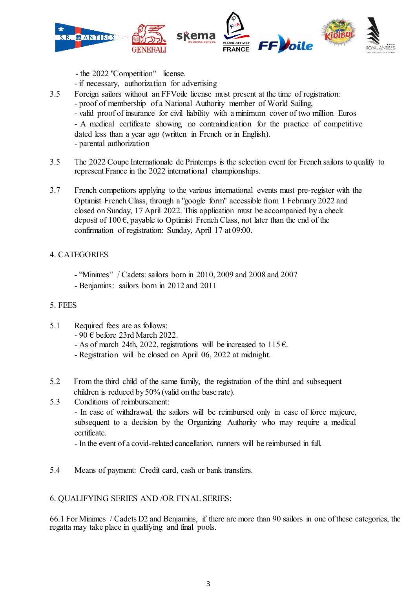

- the 2022 "Competition" license.
- if necessary, authorization for advertising
- 3.5 Foreign sailors without an FFVoile license must present at the time of registration: - proof of membership of a National Authority member of World Sailing, - valid proof of insurance for civil liability with a minimum cover of two million Euros - A medical certificate showing no contraindication for the practice of competitive dated less than a year ago (written in French or in English). - parental authorization
- 3.5 The 2022 Coupe Internationale de Printemps is the selection event for French sailors to qualify to represent France in the 2022 international championships.
- 3.7 French competitors applying to the various international events must pre-register with the Optimist French Class, through a "google form" accessible from 1 February 2022 and closed on Sunday, 17 April 2022. This application must be accompanied by a check deposit of 100  $\epsilon$ , payable to Optimist French Class, not later than the end of the confirmation of registration: Sunday, April 17 at 09:00.

#### 4. CATEGORIES

- "Minimes" / Cadets: sailors born in 2010, 2009 and 2008 and 2007
- Benjamins: sailors born in 2012 and 2011

#### 5. FEES

- 5.1 Required fees are as follows:
	- 90 € before 23rd March 2022.
	- As of march 24th, 2022, registrations will be increased to  $115 \epsilon$ .
	- Registration will be closed on April 06, 2022 at midnight.
- 5.2 From the third child of the same family, the registration of the third and subsequent children is reduced by 50% (valid on the base rate).
- 5.3 Conditions of reimbursement:

- In case of withdrawal, the sailors will be reimbursed only in case of force majeure, subsequent to a decision by the Organizing Authority who may require a medical certificate.

- In the event of a covid-related cancellation, runners will be reimbursed in full.

5.4 Means of payment: Credit card, cash or bank transfers.

# 6. QUALIFYING SERIES AND /OR FINAL SERIES:

66.1 For Minimes / Cadets D2 and Benjamins, if there are more than 90 sailors in one of these categories, the regatta may take place in qualifying and final pools.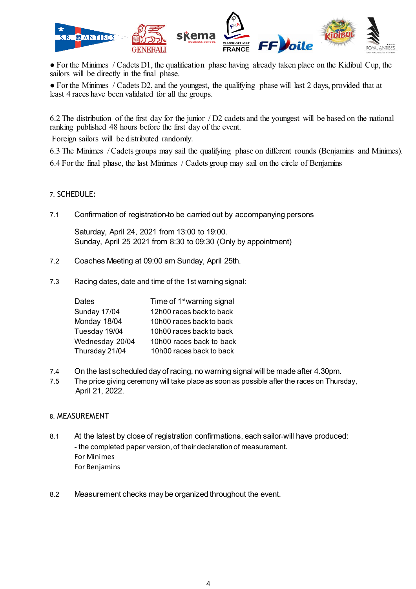

• For the Minimes / Cadets D1, the qualification phase having already taken place on the Kidibul Cup, the sailors will be directly in the final phase.

● For the Minimes / Cadets D2, and the youngest, the qualifying phase will last 2 days, provided that at least 4 races have been validated for all the groups.

6.2 The distribution of the first day for the junior / D2 cadets and the youngest will be based on the national ranking published 48 hours before the first day of the event.

Foreign sailors will be distributed randomly.

6.3 The Minimes / Cadets groups may sail the qualifying phase on different rounds (Benjamins and Minimes). 6.4 For the final phase, the last Minimes / Cadets group may sail on the circle of Benjamins

#### 7. SCHEDULE:

7.1 Confirmation of registration to be carried out by accompanying persons

Saturday, April 24, 2021 from 13:00 to 19:00. Sunday, April 25 2021 from 8:30 to 09:30 (Only by appointment)

- 7.2 Coaches Meeting at 09:00 am Sunday, April 25th.
- 7.3 Racing dates, date and time of the 1st warning signal:

| <b>Dates</b>    | Time of 1 <sup>st</sup> warning signal |
|-----------------|----------------------------------------|
| Sunday 17/04    | 12h00 races back to back               |
| Monday 18/04    | 10h00 races back to back               |
| Tuesday 19/04   | 10h00 races back to back               |
| Wednesday 20/04 | 10h00 races back to back               |
| Thursday 21/04  | 10h00 races back to back               |

- 7.4 On the last scheduled day of racing, no warning signal will be made after 4.30pm.
- 7.5 The price giving ceremony will take place as soon as possible after the races on Thursday, April 21, 2022.

#### 8. MEASUREMENT

- 8.1 At the latest by close of registration confirmations, each sailor-will have produced: - the completed paper version, of their declaration of measurement. For Minimes For Benjamins
- 8.2 Measurement checks may be organized throughout the event.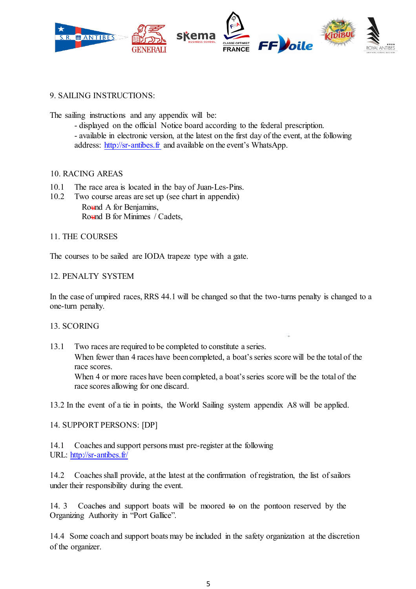

### 9. SAILING INSTRUCTIONS:

The sailing instructions and any appendix will be:

- displayed on the official Notice board according to the federal prescription. - available in electronic version, at the latest on the first day of the event, at the following address: http://sr-antibes.fr and available on the event's WhatsApp.

#### 10. RACING AREAS

- 10.1 The race area is located in the bay of Juan-Les-Pins.
- 10.2 Two course areas are set up (see chart in appendix) Round A for Benjamins, Round B for Minimes / Cadets,

#### 11. THE COURSES

The courses to be sailed are IODA trapeze type with a gate.

#### 12. PENALTY SYSTEM

In the case of umpired races, RRS 44.1 will be changed so that the two-turns penalty is changed to a one-turn penalty.

#### 13. SCORING

13.1 Two races are required to be completed to constitute a series.

When fewer than 4 races have been completed, a boat's series score will be the total of the race scores.

When 4 or more races have been completed, a boat's series score will be the total of the race scores allowing for one discard.

13.2 In the event of a tie in points, the World Sailing system appendix A8 will be applied.

#### 14. SUPPORT PERSONS: [DP]

14.1 Coaches and support persons must pre-register at the following URL: http://sr-antibes.fr/

14.2 Coaches shall provide, at the latest at the confirmation of registration, the list of sailors under their responsibility during the event.

14. 3 Coaches and support boats will be moored to on the pontoon reserved by the Organizing Authority in "Port Gallice".

14.4 Some coach and support boats may be included in the safety organization at the discretion of the organizer.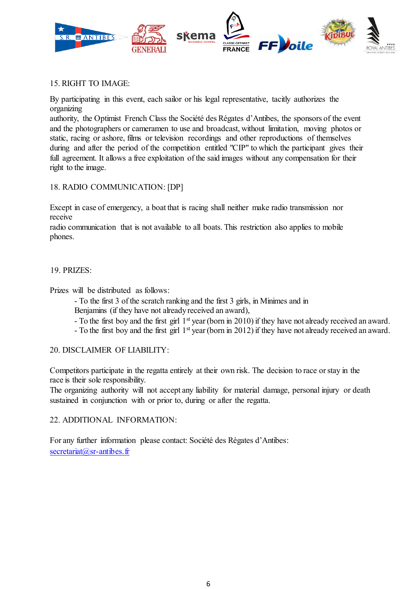

#### 15. RIGHT TO IMAGE:

By participating in this event, each sailor or his legal representative, tacitly authorizes the organizing

authority, the Optimist French Class the Société des Régates d'Antibes, the sponsors of the event and the photographers or cameramen to use and broadcast, without limitation, moving photos or static, racing or ashore, films or television recordings and other reproductions of themselves during and after the period of the competition entitled "CIP" to which the participant gives their full agreement. It allows a free exploitation of the said images without any compensation for their right to the image.

# 18. RADIO COMMUNICATION: [DP]

Except in case of emergency, a boat that is racing shall neither make radio transmission nor receive

radio communication that is not available to all boats. This restriction also applies to mobile phones.

#### 19. PRIZES:

Prizes will be distributed as follows:

- To the first 3 of the scratch ranking and the first 3 girls, in Minimes and in Benjamins (if they have not already received an award),

- To the first boy and the first girl 1st year (born in 2010) if they have not already received an award.
- To the first boy and the first girl 1st year (born in 2012) if they have not already received an award.

#### 20. DISCLAIMER OF LIABILITY:

Competitors participate in the regatta entirely at their own risk. The decision to race or stay in the race is their sole responsibility.

The organizing authority will not accept any liability for material damage, personal injury or death sustained in conjunction with or prior to, during or after the regatta.

#### 22. ADDITIONAL INFORMATION:

For any further information please contact: Société des Régates d'Antibes: secretariat@sr-antibes.fr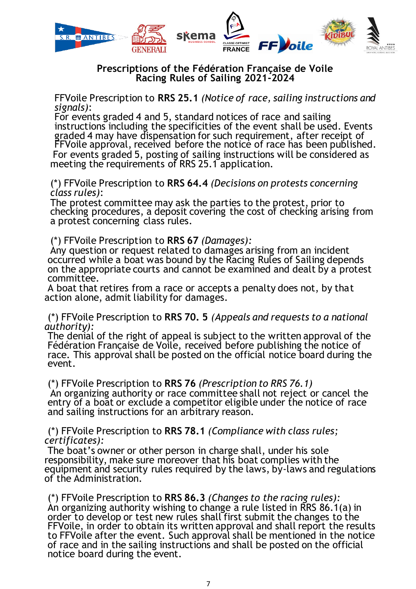

# **Prescriptions of the Fédération Française de Voile Racing Rules of Sailing 2021-2024** FFVoile Prescription to **RRS 25.1** *(Notice of race, sailing instructions and*

*signals)*:

For events graded 4 and 5, standard notices of race and sailing instructions including the specificities of the event shall be used. Events graded 4 may have dispensation for such requirement, after receipt of FFVoile approval, received before the notice of race has been published. For events graded 5, posting of sailing instructions will be considered as meeting the requirements of RRS 25.1 application.

(\*) FFVoile Prescription to **RRS 64.4** *(Decisions on protests concerning class rules)*:

The protest committee may ask the parties to the protest, prior to checking procedures, a deposit covering the cost of checking arising from a protest concerning class rules. (\*) FFVoile Prescription to **RRS 67** *(Damages):* 

Any question or request related to damages arising from an incident occurred while a boat was bound by the Racing Rules of Sailing depends on the appropriate courts and cannot be examined and dealt by a protest committee.

A boat that retires from a race or accepts a penalty does not, by that action alone, admit liability for damages.

(\*) FFVoile Prescription to **RRS 70. 5** *(Appeals and requests to a national authority):* 

The denial of the right of appeal is subject to the written approval of the Fédération Française de Voile, received before publishing the notice of race. This approval shall be posted on the official notice board during the event.

(\*) FFVoile Prescription to **RRS 76** *(Prescription to RRS 76.1)*  An organizing authority or race committee shall not reject or cancel the entry of a boat or exclude a competitor eligible under the notice of race and sailing instructions for an arbitrary reason.

and sailing instructions for an arbitrary reason. (\*) FFVoile Prescription to **RRS 78.1** *(Compliance with class rules; certificates):* 

The boat's owner or other person in charge shall, under his sole responsibility, make sure moreover that his boat complies with the equipment and security rules required by the laws, by-laws and regulations<br>of the Administration.

of the Administration. (\*) FFVoile Prescription to **RRS 86.3** *(Changes to the racing rules):*  An organizing authority wishing to change a rule listed in RRS 86.1(a) in FFVoile, in order to obtain its written approval and shall report the results to FFVoile after the event. Such approval shall be mentioned in the notice of race and in the sailing instructions and shall be posted on the official notice board during the event.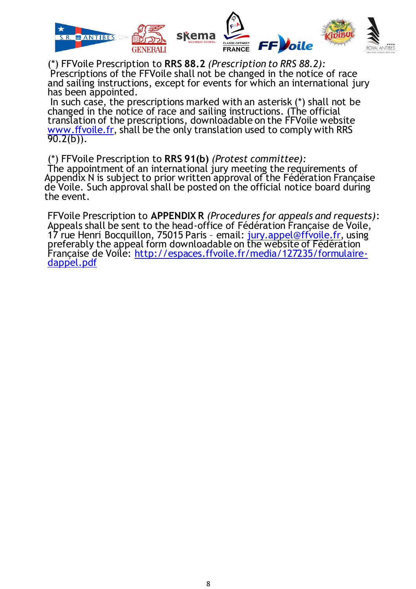

(\*) FFVoile Prescription to **RRS 88.2** *(Prescription to RRS 88.2):*  Prescriptions of the FFVoile shall not be changed in the notice of race and sailing instructions, except for events for which an international jury has been appointed.

In such case, the prescriptions marked with an asterisk (\*) shall not be changed in the notice of race and sailing instructions. (The official translation of the prescriptions, downloadable on the FFVoile website www.ffvoile.fr, shall be the only translation used to comply with RRS 90.2(b)).

(\*) FFVoile Prescription to **RRS 91(b)** *(Protest committee):*  The appointment of an international jury meeting the requirements of Appendix N is subject to prior written approval of the Fédération Française de Voile. Such approval shall be posted on the official notice board during the event.

FFVoile Prescription to **APPENDIX R** *(Procedures for appeals and requests)*: Appeals shall be sent to the head-office of Fédération Française de Voile, 17 rue Henri Bocquillon, 75015 Paris - email: <u>jury.appel@ffvoile.fr</u>, using<br>preferably the appeal form downloadable on the website of Fédération Française de Voile: http://espaces.ffvoile.fr/media/127235/formulaire-<br>dappel.pdf